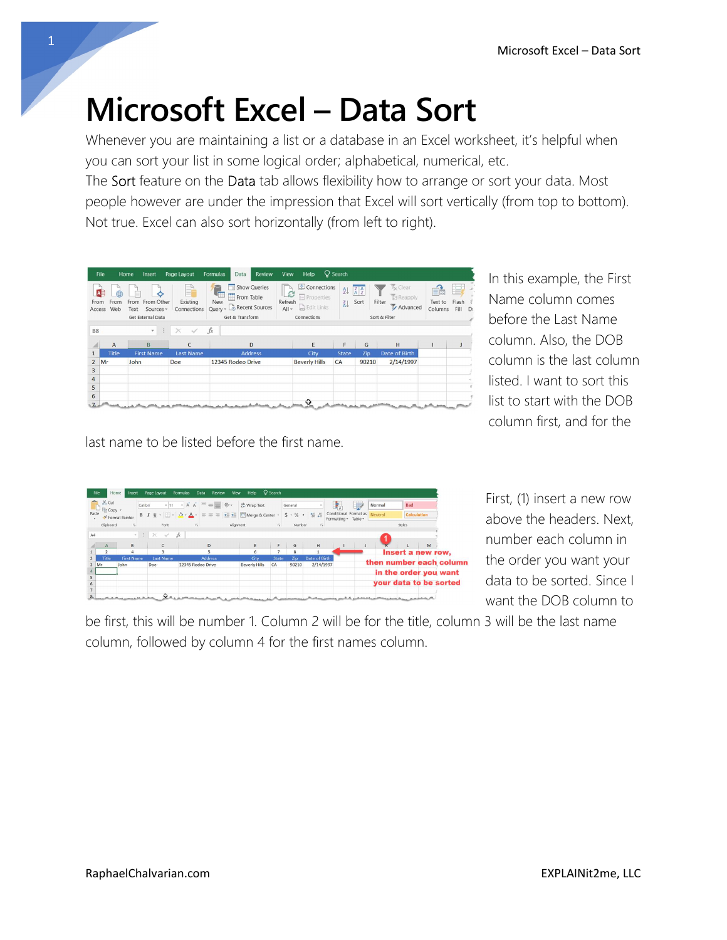## Microsoft Excel – Data Sort

Whenever you are maintaining a list or a database in an Excel worksheet, it's helpful when you can sort your list in some logical order; alphabetical, numerical, etc.

The Sort feature on the Data tab allows flexibility how to arrange or sort your data. Most people however are under the impression that Excel will sort vertically (from top to bottom). Not true. Excel can also sort horizontally (from left to right).

|                 | File                   | Home<br>Insert                       | Page Layout                  | <b>Review</b><br><b>Formulas</b><br>Data                             | Help<br><b>View</b>                                                         | $Q$ Search   |                                                              |                                                 |                         |                     |
|-----------------|------------------------|--------------------------------------|------------------------------|----------------------------------------------------------------------|-----------------------------------------------------------------------------|--------------|--------------------------------------------------------------|-------------------------------------------------|-------------------------|---------------------|
| From<br>Access  | AB<br>曲<br>From<br>Web | From From Other<br>Sources -<br>Text | F<br>Existing<br>Connections | Show Queries<br>٠Ē<br>From Table<br>New<br>Query - Co Recent Sources | Connections<br>C<br>Properties<br>Refresh<br><b>B</b> Edit Links<br>$All -$ | 处<br>弘       | $\left  \begin{array}{c} Z \\ A \end{array} \right $<br>Sort | <b>K</b> Clear<br>Reapply<br>Filter<br>Advanced | ᆸ<br>Text to<br>Columns | Flash<br>Fill<br>D: |
|                 |                        | Get External Data                    |                              | Get & Transform                                                      | Connections                                                                 |              |                                                              | Sort & Filter                                   |                         |                     |
| <b>B8</b>       |                        | 3<br>$\mathbf{v}$ .                  | $\times$                     | $f_x$                                                                |                                                                             |              |                                                              |                                                 |                         |                     |
| A               | $\overline{A}$         | <sub>R</sub>                         |                              | D                                                                    | E                                                                           | F            | G                                                            | H                                               |                         |                     |
| $\mathbf{1}$    | <b>Title</b>           | <b>First Name</b>                    | <b>Last Name</b>             | <b>Address</b>                                                       | City                                                                        | <b>State</b> | Zip                                                          | Date of Birth                                   |                         |                     |
| $\overline{2}$  | Mr                     | John                                 | Doe                          | 12345 Rodeo Drive                                                    | <b>Beverly Hills</b>                                                        | CA           | 90210                                                        | 2/14/1997                                       |                         |                     |
| 3               |                        |                                      |                              |                                                                      |                                                                             |              |                                                              |                                                 |                         |                     |
| 4               |                        |                                      |                              |                                                                      |                                                                             |              |                                                              |                                                 |                         |                     |
| 5               |                        |                                      |                              |                                                                      |                                                                             |              |                                                              |                                                 |                         |                     |
| $6\overline{6}$ |                        |                                      |                              |                                                                      |                                                                             |              |                                                              |                                                 |                         |                     |
|                 |                        |                                      |                              |                                                                      | Ф                                                                           |              |                                                              |                                                 |                         |                     |

In this example, the First Name column comes before the Last Name column. Also, the DOB column is the last column listed. I want to sort this list to start with the DOB column first, and for the

last name to be listed before the first name.

|        | X Cut     | Calibri                           |                                        | $\cdot$ 11 $\cdot$ A A $\equiv$ $\equiv$ $\Rightarrow$ $\triangleright$ | ab Wrap Text                                                                                                                                          |              | General          |                    | F.                                                    | $\overline{\phantom{a}}$ | Normal | <b>Bad</b>              |             |  |
|--------|-----------|-----------------------------------|----------------------------------------|-------------------------------------------------------------------------|-------------------------------------------------------------------------------------------------------------------------------------------------------|--------------|------------------|--------------------|-------------------------------------------------------|--------------------------|--------|-------------------------|-------------|--|
| Paste  | - Copy -  | S' Format Painter                 |                                        |                                                                         | <b>B</b> $I \sqcup \cdot \sqcup \cdot$ $\rightarrow \infty$ $\cdot$ $A \cdot \equiv \equiv \equiv \equiv \equiv \equiv \equiv$ Merge & Center $\cdot$ |              | $5 - \%$ , $2.3$ |                    | Conditional Format as Neutral<br>Formatting - Table - |                          |        |                         | Calculation |  |
|        | Clipboard | $\vert \nabla_{\mathbf{z}} \vert$ | Font                                   | $\lceil \frac{1}{2} \rceil$                                             | Alignment                                                                                                                                             | $E_{\rm{c}}$ | Number           | $\overline{r_{2}}$ |                                                       |                          |        | Styles                  |             |  |
|        |           |                                   | $\cdot$ $\cdot$ $\times$ $\cdot$ $f$ x |                                                                         |                                                                                                                                                       |              |                  |                    |                                                       |                          |        |                         |             |  |
|        | A         | B                                 | C                                      | D                                                                       | E                                                                                                                                                     | F            | G                | H                  |                                                       |                          |        |                         | M           |  |
|        |           |                                   |                                        |                                                                         |                                                                                                                                                       |              | 8                |                    |                                                       |                          |        | Insert a new row,       |             |  |
|        | Title     | <b>First Name</b>                 | <b>Last Name</b>                       | <b>Address</b>                                                          | City                                                                                                                                                  | <b>State</b> | Zip.             | Date of Birth      |                                                       |                          |        |                         |             |  |
| $3$ Mr |           | John                              | Doe                                    | 12345 Rodeo Drive                                                       | <b>Beverly Hills</b>                                                                                                                                  | CA           | 90210            | 2/14/1997          |                                                       |                          |        | then number each column |             |  |
|        |           |                                   |                                        |                                                                         |                                                                                                                                                       |              |                  |                    |                                                       |                          |        | in the order you want   |             |  |
|        |           |                                   |                                        |                                                                         |                                                                                                                                                       |              |                  |                    |                                                       |                          |        |                         |             |  |
|        |           |                                   |                                        |                                                                         |                                                                                                                                                       |              |                  |                    |                                                       |                          |        | your data to be sorted  |             |  |

First, (1) insert a new row above the headers. Next, number each column in the order you want your data to be sorted. Since I want the DOB column to

be first, this will be number 1. Column 2 will be for the title, column 3 will be the last name column, followed by column 4 for the first names column.